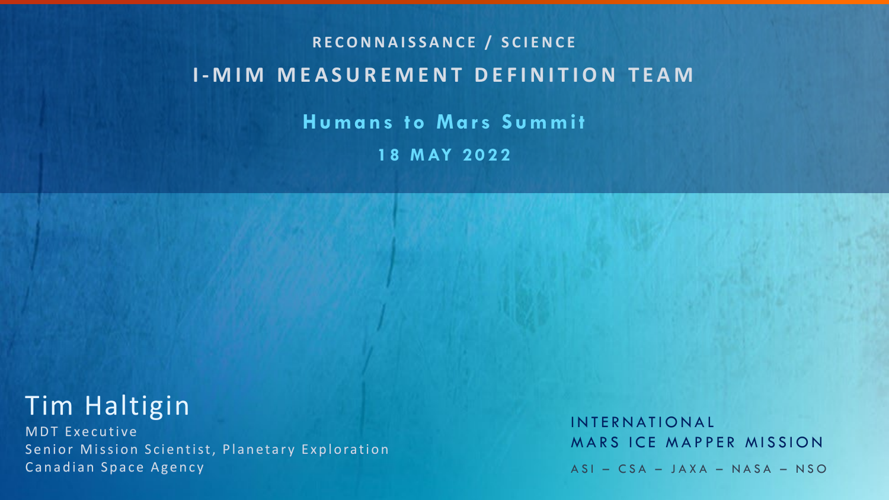## **RECONNAISSANCE / SCIENCE I - MIM MEASUREMENT DEFINITION TEAM Humans to Mars Summit 18 MAY 2022**

## Tim Haltigin

MDT Executive Senior Mission Scientist, Planetary Exploration Canadian Space Agency

INTERNATIONAL MARS ICE MAPPER MISSION ASI – CSA – JAXA – NASA – NSO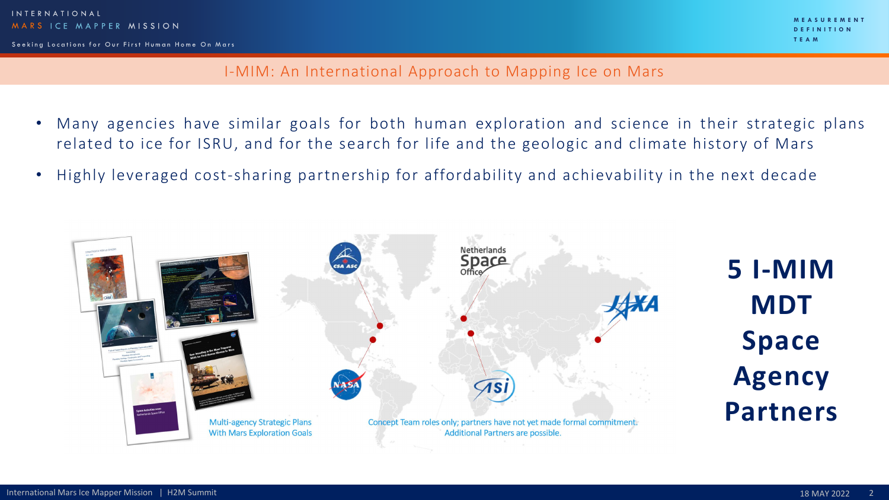**MEASUREMENT DEFINITION TEAM**

I-MIM: An International Approach to Mapping Ice on Mars

- Many agencies have similar goals for both human exploration and science in their strategic plans related to ice for ISRU, and for the search for life and the geologic and climate history of Mars
- Highly leveraged cost-sharing partnership for affordability and achievability in the next decade



**5 I-MIM MDT Space Agency Partners**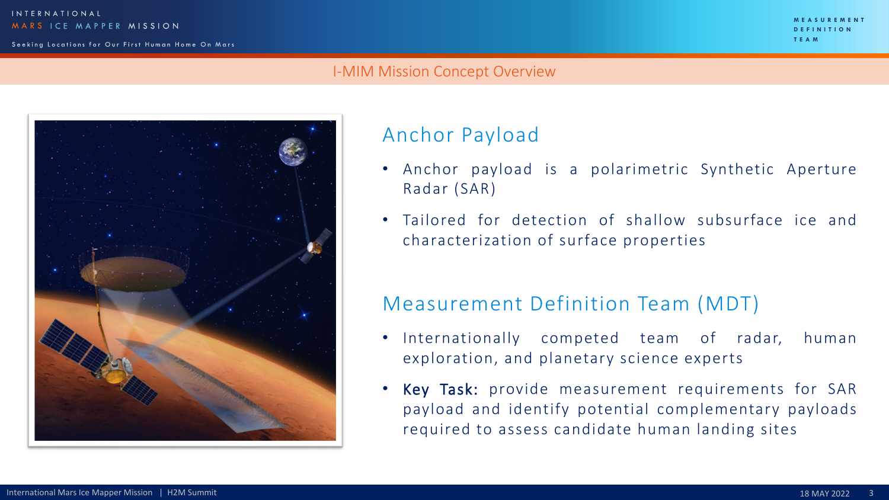#### I-MIM Mission Concept Overview



## Anchor Payload

- Anchor payload is a polarimetric Synthetic Aperture Radar (SAR)
- Tailored for detection of shallow subsurface ice and characterization of surface properties

## Measurement Definition Team (MDT)

- Internationally competed team of radar, human exploration, and planetary science experts
- Key Task: provide measurement requirements for SAR payload and identify potential complementary payloads required to assess candidate human landing sites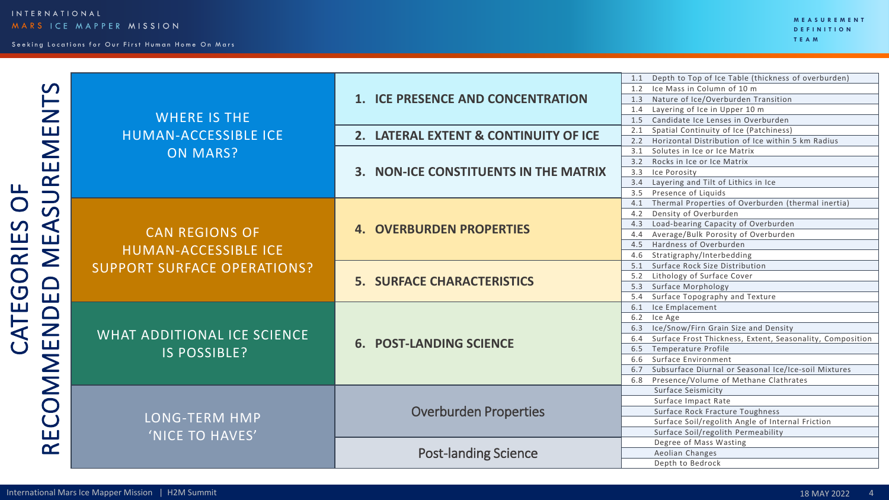CATEGORIES OF

CATEGORIES OF

| $\boldsymbol{\mathcal{C}}$<br>$\mathsf{Z}% _{0}\!\left( \mathbb{Z}\right) \equiv\mathbb{Z}_{0}\!\left( \mathbb{Z}\right)$ | <b>WHERE IS THE</b>                           | 1. ICE PRESENCE AND CONCENTRATION     | 1.1 Depth to Top of Ice Table (thickness of overburden)<br>1.2 Ice Mass in Column of 10 m<br>1.3 Nature of Ice/Overburden Transition<br>Layering of Ice in Upper 10 m<br>1.4<br>Candidate Ice Lenses in Overburden<br>1.5 |  |  |
|---------------------------------------------------------------------------------------------------------------------------|-----------------------------------------------|---------------------------------------|---------------------------------------------------------------------------------------------------------------------------------------------------------------------------------------------------------------------------|--|--|
| $\Box$                                                                                                                    | HUMAN-ACCESSIBLE ICE                          | 2. LATERAL EXTENT & CONTINUITY OF ICE | 2.1 Spatial Continuity of Ice (Patchiness)                                                                                                                                                                                |  |  |
|                                                                                                                           |                                               |                                       | 2.2 Horizontal Distribution of Ice within 5 km Radius                                                                                                                                                                     |  |  |
| $\mathsf{\Sigma}$                                                                                                         | <b>ON MARS?</b>                               |                                       | 3.1 Solutes in Ice or Ice Matrix                                                                                                                                                                                          |  |  |
| $\sqcup$<br>$\alpha$                                                                                                      |                                               |                                       | 3.2 Rocks in Ice or Ice Matrix                                                                                                                                                                                            |  |  |
|                                                                                                                           |                                               | 3. NON-ICE CONSTITUENTS IN THE MATRIX | 3.3 Ice Porosity                                                                                                                                                                                                          |  |  |
|                                                                                                                           |                                               |                                       | 3.4 Layering and Tilt of Lithics in Ice                                                                                                                                                                                   |  |  |
|                                                                                                                           |                                               |                                       | 3.5 Presence of Liquids                                                                                                                                                                                                   |  |  |
|                                                                                                                           |                                               |                                       | 4.1 Thermal Properties of Overburden (thermal inertia)                                                                                                                                                                    |  |  |
| $\boldsymbol{\mathsf{S}}$                                                                                                 |                                               |                                       | 4.2 Density of Overburden                                                                                                                                                                                                 |  |  |
| $\blacktriangleleft$<br>$\Box$                                                                                            |                                               | <b>4. OVERBURDEN PROPERTIES</b>       | 4.3 Load-bearing Capacity of Overburden                                                                                                                                                                                   |  |  |
|                                                                                                                           | <b>CAN REGIONS OF</b><br>HUMAN-ACCESSIBLE ICE |                                       | 4.4 Average/Bulk Porosity of Overburden                                                                                                                                                                                   |  |  |
|                                                                                                                           |                                               |                                       | Hardness of Overburden<br>4.5                                                                                                                                                                                             |  |  |
| $\sum$                                                                                                                    |                                               |                                       | 4.6 Stratigraphy/Interbedding                                                                                                                                                                                             |  |  |
|                                                                                                                           | <b>SUPPORT SURFACE OPERATIONS?</b>            |                                       | 5.1 Surface Rock Size Distribution                                                                                                                                                                                        |  |  |
|                                                                                                                           |                                               | <b>5. SURFACE CHARACTERISTICS</b>     | Lithology of Surface Cover<br>5.2                                                                                                                                                                                         |  |  |
| $\Box$                                                                                                                    |                                               |                                       | 5.3 Surface Morphology                                                                                                                                                                                                    |  |  |
| $\Box$                                                                                                                    |                                               |                                       | 5.4 Surface Topography and Texture                                                                                                                                                                                        |  |  |
| $\Box$                                                                                                                    |                                               |                                       | 6.1 Ice Emplacement                                                                                                                                                                                                       |  |  |
|                                                                                                                           |                                               |                                       | 6.2 Ice Age                                                                                                                                                                                                               |  |  |
| $\mathsf{Z}% _{M_{1},M_{2}}^{\alpha,\beta}(\mathbb{R}^{N})$                                                               | WHAT ADDITIONAL ICE SCIENCE                   |                                       | 6.3 Ice/Snow/Firn Grain Size and Density                                                                                                                                                                                  |  |  |
| $\Box$                                                                                                                    |                                               | <b>6. POST-LANDING SCIENCE</b>        | 6.4 Surface Frost Thickness, Extent, Seasonality, Composition                                                                                                                                                             |  |  |
|                                                                                                                           | IS POSSIBLE?                                  |                                       | 6.5 Temperature Profile                                                                                                                                                                                                   |  |  |
| $\mathsf{\Sigma}% _{M_{1},M_{2}}^{\alpha,\beta}$                                                                          |                                               |                                       | 6.6 Surface Environment                                                                                                                                                                                                   |  |  |
|                                                                                                                           |                                               |                                       | 6.7 Subsurface Diurnal or Seasonal Ice/Ice-soil Mixtures                                                                                                                                                                  |  |  |
| $\mathsf{\Sigma}$                                                                                                         |                                               |                                       | 6.8 Presence/Volume of Methane Clathrates                                                                                                                                                                                 |  |  |
|                                                                                                                           |                                               |                                       | Surface Seismicity                                                                                                                                                                                                        |  |  |
| $\bigcirc$                                                                                                                |                                               |                                       | Surface Impact Rate                                                                                                                                                                                                       |  |  |
| $\bigcup$<br>$\sqcup$<br>$\alpha$                                                                                         | LONG-TERM HMP                                 | <b>Overburden Properties</b>          | Surface Rock Fracture Toughness                                                                                                                                                                                           |  |  |
|                                                                                                                           |                                               |                                       | Surface Soil/regolith Angle of Internal Friction                                                                                                                                                                          |  |  |
|                                                                                                                           | 'NICE TO HAVES'                               |                                       | Surface Soil/regolith Permeability                                                                                                                                                                                        |  |  |
|                                                                                                                           |                                               |                                       | Degree of Mass Wasting                                                                                                                                                                                                    |  |  |
|                                                                                                                           |                                               | <b>Post-landing Science</b>           | Aeolian Changes                                                                                                                                                                                                           |  |  |
|                                                                                                                           |                                               |                                       | Depth to Bedrock                                                                                                                                                                                                          |  |  |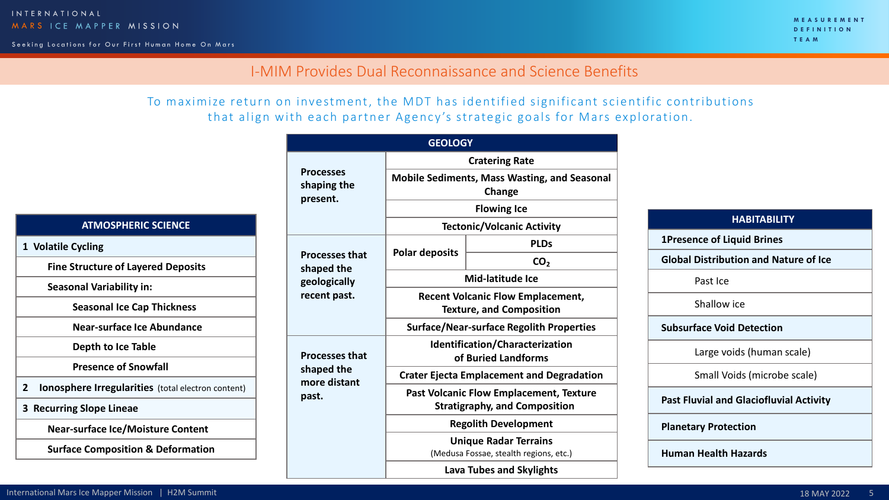Seeking Locations for Our First Human Home On Mars

**MEASUREMENT DEFINITION TEAM**

### I-MIM Provides Dual Reconnaissance and Science Benefits

To maximize return on investment, the MDT has identified significant scientific contributions that align with each partner Agency's strategic goals for Mars exploration.

**GEOLOGY**

|                                                                |                                             |                                                                                                                          | <b>Cratering Rate</b> |  |
|----------------------------------------------------------------|---------------------------------------------|--------------------------------------------------------------------------------------------------------------------------|-----------------------|--|
|                                                                | <b>Processes</b><br>shaping the<br>present. | <b>Mobile Sediments, Mass Wasting, and Seasonal</b><br>Change<br><b>Flowing Ice</b><br><b>Tectonic/Volcanic Activity</b> |                       |  |
|                                                                |                                             |                                                                                                                          |                       |  |
| <b>ATMOSPHERIC SCIENCE</b>                                     |                                             |                                                                                                                          |                       |  |
| 1 Volatile Cycling                                             |                                             | <b>Polar deposits</b>                                                                                                    | <b>PLDs</b>           |  |
| <b>Fine Structure of Layered Deposits</b>                      | <b>Processes that</b><br>shaped the         |                                                                                                                          | CO <sub>2</sub>       |  |
| <b>Seasonal Variability in:</b>                                | geologically                                |                                                                                                                          | Mid-latitude Ice      |  |
| <b>Seasonal Ice Cap Thickness</b>                              | recent past.                                | <b>Recent Volcanic Flow Emplacement,</b><br><b>Texture, and Composition</b>                                              |                       |  |
| Near-surface Ice Abundance                                     |                                             | <b>Surface/Near-surface Regolith Properties</b>                                                                          |                       |  |
| Depth to Ice Table                                             | <b>Processes that</b>                       | Identification/Characterization<br>of Buried Landforms                                                                   |                       |  |
| <b>Presence of Snowfall</b>                                    | shaped the                                  | <b>Crater Ejecta Emplacement and Degradation</b>                                                                         |                       |  |
| <b>Ionosphere Irregularities</b> (total electron content)<br>2 | more distant                                | <b>Past Volcanic Flow Emplacement, Texture</b>                                                                           |                       |  |
| 3 Recurring Slope Lineae                                       | past.                                       | <b>Stratigraphy, and Composition</b>                                                                                     |                       |  |
| <b>Near-surface Ice/Moisture Content</b>                       |                                             | <b>Regolith Development</b>                                                                                              |                       |  |
| <b>Surface Composition &amp; Deformation</b>                   |                                             | <b>Unique Radar Terrains</b><br>(Medusa Fossae, stealth regions, etc.)                                                   |                       |  |
|                                                                |                                             | <b>Lava Tubes and Skylights</b>                                                                                          |                       |  |

| <b>HABITABILITY</b>                            |
|------------------------------------------------|
| <b>1Presence of Liquid Brines</b>              |
| <b>Global Distribution and Nature of Ice</b>   |
| Past Ice                                       |
| Shallow ice                                    |
| <b>Subsurface Void Detection</b>               |
| Large voids (human scale)                      |
| Small Voids (microbe scale)                    |
| <b>Past Fluvial and Glaciofluvial Activity</b> |
| <b>Planetary Protection</b>                    |
| <b>Human Health Hazards</b>                    |
|                                                |
| 18 MAY 2022                                    |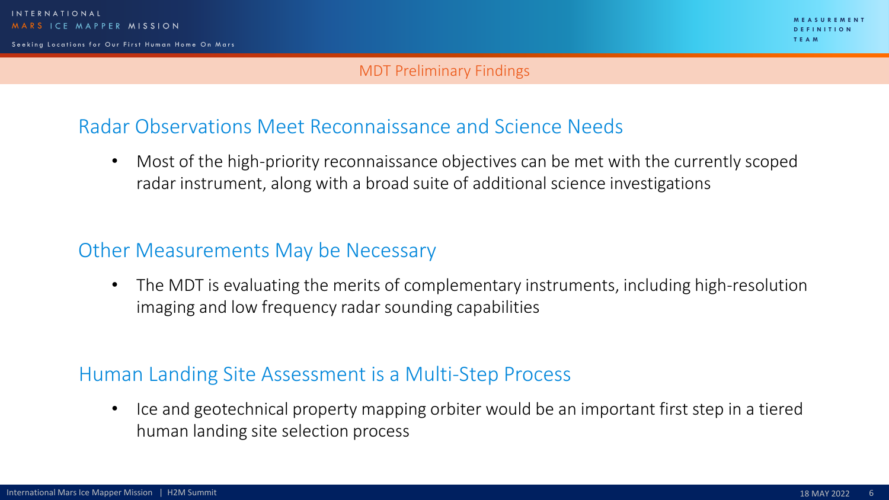#### MDT Preliminary Findings

## Radar Observations Meet Reconnaissance and Science Needs

• Most of the high-priority reconnaissance objectives can be met with the currently scoped radar instrument, along with a broad suite of additional science investigations

## Other Measurements May be Necessary

• The MDT is evaluating the merits of complementary instruments, including high-resolution imaging and low frequency radar sounding capabilities

## Human Landing Site Assessment is a Multi-Step Process

• Ice and geotechnical property mapping orbiter would be an important first step in a tiered human landing site selection process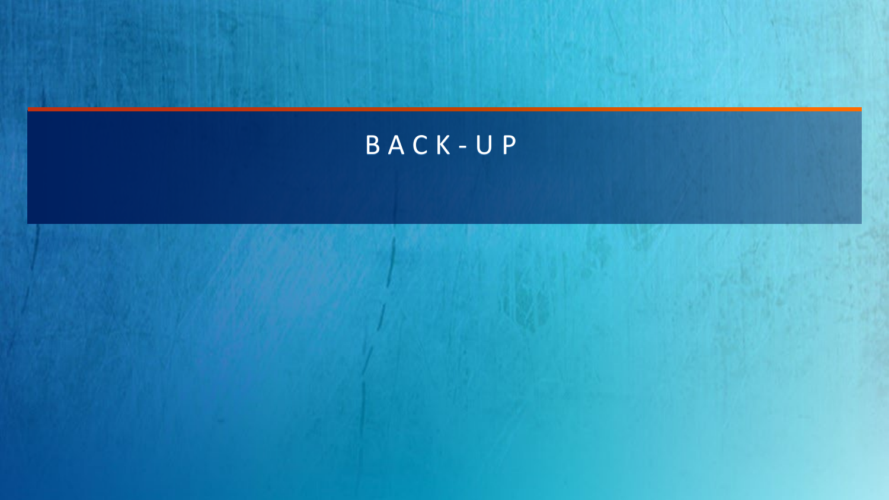# BACK - U P